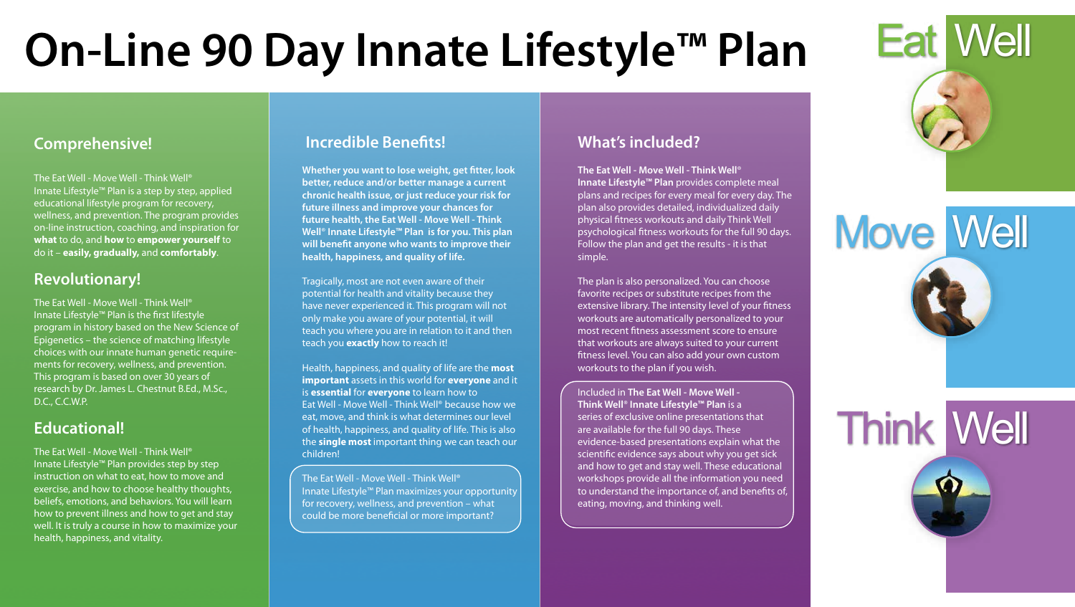

## Move Well

# Think Well



#### **Comprehensive!**

The Eat Well - Move Well - Think Well® Innate Lifestyle™ Plan is a step by step, applied educational lifestyle program for recovery, wellness, and prevention. The program provides on-line instruction, coaching, and inspiration for **what** to do, and **how** to **empower yourself** to do it – **easily, gradually,** and **comfortably**.

#### **Revolutionary!**

The Eat Well - Move Well - Think Well® Innate Lifestyle™ Plan is the first lifestyle program in history based on the New Science of Epigenetics – the science of matching lifestyle choices with our innate human genetic requirements for recovery, wellness, and prevention. This program is based on over 30 years of research by Dr. James L. Chestnut B.Ed., M.Sc., D.C., C.C.W.P.

**Whether you want to lose weight, get fitter, look better, reduce and/or better manage a current chronic health issue, or just reduce your risk for future illness and improve your chances for future health, the Eat Well - Move Well - Think Well**® **Innate Lifestyle™ Plan is for you. This plan**  will benefit anyone who wants to improve their **health, happiness, and quality of life.**

#### **Educational!**

The Eat Well - Move Well - Think Well® Innate Lifestyle™ Plan provides step by step instruction on what to eat, how to move and exercise, and how to choose healthy thoughts, beliefs, emotions, and behaviors. You will learn how to prevent illness and how to get and stay well. It is truly a course in how to maximize your health, happiness, and vitality.

#### **Incredible Benefits!**

The Eat Well - Move Well - Think Well® Innate Lifestyle™ Plan maximizes your opportunity for recovery, wellness, and prevention – what could be more beneficial or more important?

Tragically, most are not even aware of their potential for health and vitality because they have never experienced it. This program will not only make you aware of your potential, it will teach you where you are in relation to it and then teach you **exactly** how to reach it!

Health, happiness, and quality of life are the **most important** assets in this world for **everyone** and it is **essential** for **everyone** to learn how to Eat Well - Move Well - Think Well® because how we eat, move, and think is what determines our level of health, happiness, and quality of life. This is also the **single most** important thing we can teach our children!

#### **What's included?**

**The Eat Well - Move Well - Think Well**® **Innate Lifestyle™ Plan** provides complete meal plans and recipes for every meal for every day. The plan also provides detailed, individualized daily physical fitness workouts and daily Think Well psychological fitness workouts for the full 90 days. Follow the plan and get the results - it is that simple.

The plan is also personalized. You can choose favorite recipes or substitute recipes from the extensive library. The intensity level of your fitness workouts are automatically personalized to your most recent fitness assessment score to ensure that workouts are always suited to your current tness level. You can also add your own custom workouts to the plan if you wish.

Included in **The Eat Well - Move Well - Think Well**® **Innate Lifestyle™ Plan** is a series of exclusive online presentations that are available for the full 90 days. These evidence-based presentations explain what the scientific evidence says about why you get sick and how to get and stay well. These educational workshops provide all the information you need to understand the importance of, and benefits of, eating, moving, and thinking well.

# **On-Line 90 Day Innate Lifestyle™ Plan**